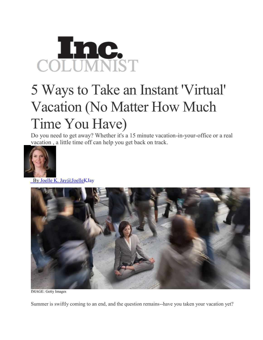## COLUMNIST

## 5 Ways to Take an Instant 'Virtual' Vacation (No Matter How Much Time You Have)

Do you need to get away? Whether it's a 15 minute vacation-in-your-office or a real vacation , a little time off can help you get back on track.



By Joelle K. [Jay@JoelleKJay](http://www.inc.com/author/joelle-k-jay)



IMAGE: Getty Images

Summer is swiftly coming to an end, and the question remains--have you taken your vacation yet?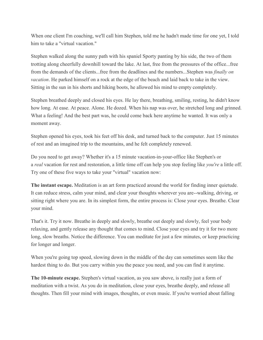When one client I'm coaching, we'll call him Stephen, told me he hadn't made time for one yet, I told him to take a "virtual vacation."

Stephen walked along the sunny path with his spaniel Sporty panting by his side, the two of them trotting along cheerfully downhill toward the lake. At last, free from the pressures of the office...free from the demands of the clients...free from the deadlines and the numbers...Stephen was *finally on vacation*. He parked himself on a rock at the edge of the beach and laid back to take in the view. Sitting in the sun in his shorts and hiking boots, he allowed his mind to empty completely.

Stephen breathed deeply and closed his eyes. He lay there, breathing, smiling, resting, he didn't know how long. At ease. At peace. Alone. He dozed. When his nap was over, he stretched long and grinned. What a feeling! And the best part was, he could come back here anytime he wanted. It was only a moment away.

Stephen opened his eyes, took his feet off his desk, and turned back to the computer. Just 15 minutes of rest and an imagined trip to the mountains, and he felt completely renewed.

Do you need to get away? Whether it's a 15 minute vacation-in-your-office like Stephen's or a *real* vacation for rest and restoration, a little time off can help you stop feeling like *you're* a little off. Try one of these five ways to take your "virtual" vacation now:

**The instant escape.** Meditation is an art form practiced around the world for finding inner quietude. It can reduce stress, calm your mind, and clear your thoughts wherever you are--walking, driving, or sitting right where you are. In its simplest form, the entire process is: Close your eyes. Breathe. Clear your mind.

That's it. Try it now. Breathe in deeply and slowly, breathe out deeply and slowly, feel your body relaxing, and gently release any thought that comes to mind. Close your eyes and try it for two more long, slow breaths. Notice the difference. You can meditate for just a few minutes, or keep practicing for longer and longer.

When you're going top speed, slowing down in the middle of the day can sometimes seem like the hardest thing to do. But you carry within you the peace you need, and you can find it anytime.

**The 10-minute escape.** Stephen's virtual vacation, as you saw above, is really just a form of meditation with a twist. As you do in meditation, close your eyes, breathe deeply, and release all thoughts. Then fill your mind with images, thoughts, or even music. If you're worried about falling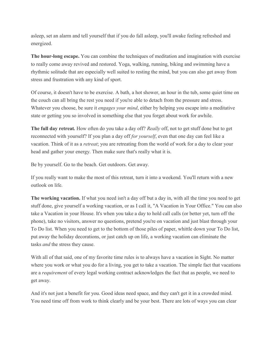asleep, set an alarm and tell yourself that if you do fall asleep, you'll awake feeling refreshed and energized.

**The hour-long escape.** You can combine the techniques of meditation and imagination with exercise to really come away revived and restored. Yoga, walking, running, biking and swimming have a rhythmic solitude that are especially well suited to resting the mind, but you can also get away from stress and frustration with any kind of sport.

Of course, it doesn't have to be exercise. A bath, a hot shower, an hour in the tub, some quiet time on the couch can all bring the rest you need if you're able to detach from the pressure and stress. Whatever you choose, be sure it *engages your mind*, either by helping you escape into a meditative state or getting you so involved in something else that you forget about work for awhile.

**The full day retreat***.* How often do you take a day off? *Really* off, not to get stuff done but to get reconnected with yourself? If you plan a day off *for yourself*, even that one day can feel like a vacation. Think of it as a *retreat*; you are retreating from the world of work for a day to clear your head and gather your energy. Then make sure that's really what it is.

Be by yourself. Go to the beach. Get outdoors. Get away.

If you really want to make the most of this retreat, turn it into a weekend. You'll return with a new outlook on life.

**The working vacation.** If what you need isn't a day off but a day in, with all the time you need to get stuff done, give yourself a working vacation, or as I call it, "A Vacation in Your Office." You can also take a Vacation in your House. It's when you take a day to hold call calls (or better yet, turn off the phone), take no visitors, answer no questions, pretend you're on vacation and just blast through your To Do list. When you need to get to the bottom of those piles of paper, whittle down your To Do list, put away the holiday decorations, or just catch up on life, a working vacation can eliminate the tasks *and* the stress they cause.

With all of that said, one of my favorite time rules is to always have a vacation in Sight. No matter where you work or what you do for a living, you get to take a vacation. The simple fact that vacations are a *requirement* of every legal working contract acknowledges the fact that as people, we need to get away.

And it's not just a benefit for you. Good ideas need space, and they can't get it in a crowded mind. You need time off from work to think clearly and be your best. There are lots of ways you can clear